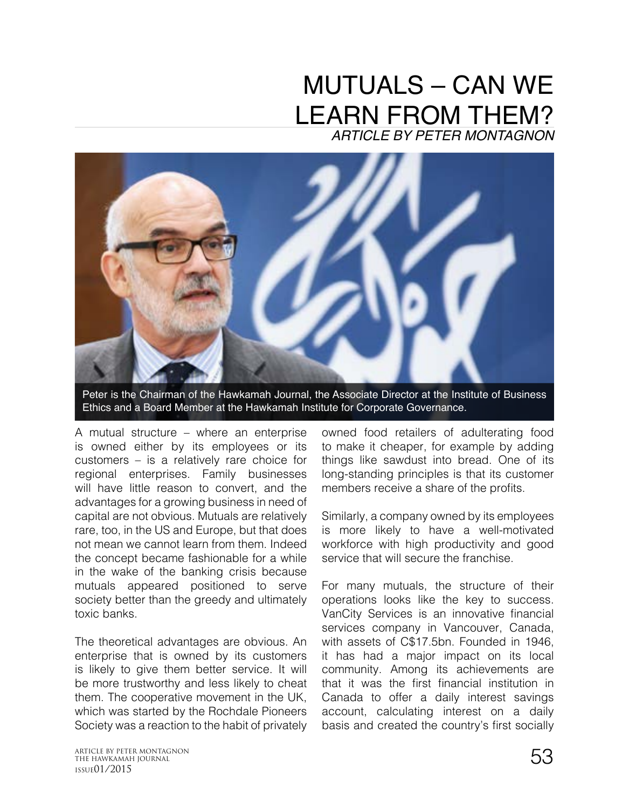## MUTUALS – CAN WE LEARN FROM THEM? *ARTICLE BY PETER MONTAGNON*



Peter is the Chairman of the Hawkamah Journal, the Associate Director at the Institute of Business Ethics and a Board Member at the Hawkamah Institute for Corporate Governance.

A mutual structure – where an enterprise is owned either by its employees or its customers – is a relatively rare choice for regional enterprises. Family businesses will have little reason to convert, and the advantages for a growing business in need of capital are not obvious. Mutuals are relatively rare, too, in the US and Europe, but that does not mean we cannot learn from them. Indeed the concept became fashionable for a while in the wake of the banking crisis because mutuals appeared positioned to serve society better than the greedy and ultimately toxic banks.

The theoretical advantages are obvious. An enterprise that is owned by its customers is likely to give them better service. It will be more trustworthy and less likely to cheat them. The cooperative movement in the UK, which was started by the Rochdale Pioneers Society was a reaction to the habit of privately owned food retailers of adulterating food to make it cheaper, for example by adding things like sawdust into bread. One of its long-standing principles is that its customer members receive a share of the profits.

Similarly, a company owned by its employees is more likely to have a well-motivated workforce with high productivity and good service that will secure the franchise.

For many mutuals, the structure of their operations looks like the key to success. VanCity Services is an innovative financial services company in Vancouver, Canada. with assets of C\$17.5bn. Founded in 1946, it has had a major impact on its local community. Among its achievements are that it was the first financial institution in Canada to offer a daily interest savings account, calculating interest on a daily basis and created the country's first socially